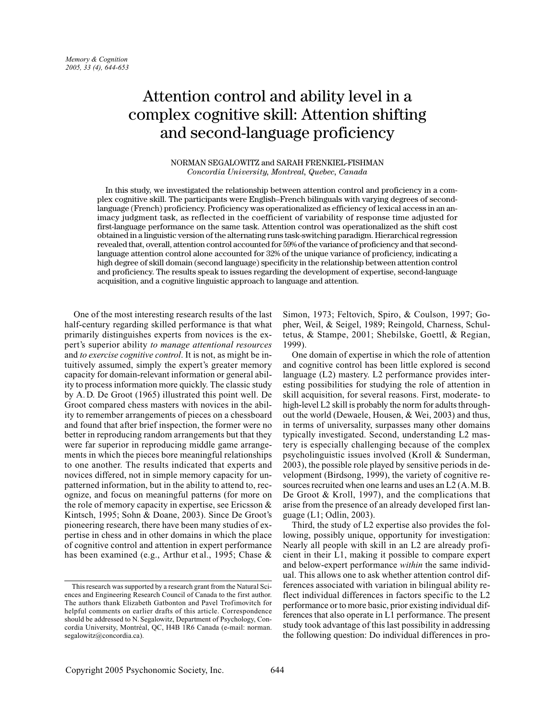# Attention control and ability level in a complex cognitive skill: Attention shifting and second-language proficiency

## NORMAN SEGALOWITZ and SARAH FRENKIEL-FISHMAN Concordia University, Montreal, Quebec, Canada

In this study, we investigated the relationship between attention control and proficiency in a complex cognitive skill. The participants were English–French bilinguals with varying degrees of secondlanguage (French) proficiency. Proficiency was operationalized as efficiency of lexical access in an animacy judgment task, as reflected in the coefficient of variability of response time adjusted for first-language performance on the same task. Attention control was operationalized as the shift cost obtained in a linguistic version of the alternating runs task-switching paradigm. Hierarchical regression revealed that, overall, attention control accounted for 59% of the variance of proficiency and that secondlanguage attention control alone accounted for 32% of the unique variance of proficiency, indicating a high degree of skill domain (second language) specificity in the relationship between attention control and proficiency. The results speak to issues regarding the development of expertise, second-language acquisition, and a cognitive linguistic approach to language and attention.

One of the most interesting research results of the last half-century regarding skilled performance is that what primarily distinguishes experts from novices is the expert's superior ability to manage attentional resources and to exercise cognitive control. It is not, as might be intuitively assumed, simply the expert's greater memory capacity for domain-relevant information or general ability to process information more quickly. The classic study by A.D. De Groot (1965) illustrated this point well. De Groot compared chess masters with novices in the ability to remember arrangements of pieces on a chessboard and found that after brief inspection, the former were no better in reproducing random arrangements but that they were far superior in reproducing middle game arrangements in which the pieces bore meaningful relationships to one another. The results indicated that experts and novices differed, not in simple memory capacity for unpatterned information, but in the ability to attend to, recognize, and focus on meaningful patterns (for more on the role of memory capacity in expertise, see Ericsson  $\&$ Kintsch, 1995; Sohn & Doane, 2003). Since De Groot's pioneering research, there have been many studies of expertise in chess and in other domains in which the place of cognitive control and attention in expert performance has been examined (e.g., Arthur et al., 1995; Chase &

Simon, 1973; Feltovich, Spiro, & Coulson, 1997; Gopher, Weil, & Seigel, 1989; Reingold, Charness, Schultetus, & Stampe, 2001; Shebilske, Goettl, & Regian, 1999).

One domain of expertise in which the role of attention and cognitive control has been little explored is second language (L2) mastery. L2 performance provides interesting possibilities for studying the role of attention in skill acquisition, for several reasons. First, moderate-to high-level L2 skill is probably the norm for adults throughout the world (Dewaele, Housen, & Wei, 2003) and thus, in terms of universality, surpasses many other domains typically investigated. Second, understanding L2 mastery is especially challenging because of the complex psycholinguistic issues involved (Kroll & Sunderman, 2003), the possible role played by sensitive periods in development (Birdsong, 1999), the variety of cognitive resources recruited when one learns and uses an L2 (A, M, B, De Groot & Kroll, 1997), and the complications that arise from the presence of an already developed first language (L1; Odlin, 2003).

Third, the study of L2 expertise also provides the following, possibly unique, opportunity for investigation: Nearly all people with skill in an L2 are already proficient in their L1, making it possible to compare expert and below-expert performance *within* the same individual. This allows one to ask whether attention control differences associated with variation in bilingual ability reflect individual differences in factors specific to the L2 performance or to more basic, prior existing individual differences that also operate in L1 performance. The present study took advantage of this last possibility in addressing the following question: Do individual differences in pro-

This research was supported by a research grant from the Natural Sciences and Engineering Research Council of Canada to the first author. The authors thank Elizabeth Gatbonton and Pavel Trofimovitch for helpful comments on earlier drafts of this article. Correspondence should be addressed to N. Segalowitz, Department of Psychology, Concordia University, Montréal, QC, H4B 1R6 Canada (e-mail: norman. segalowitz@concordia.ca).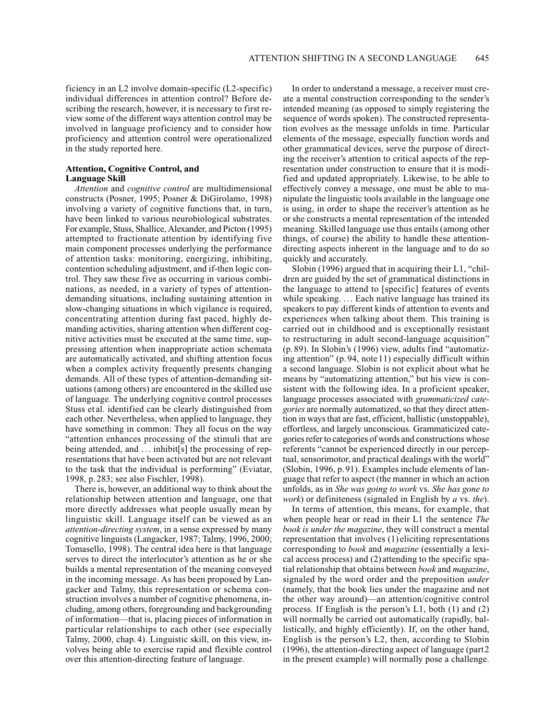ficiency in an L2 involve domain-specific (L2-specific) individual differences in attention control? Before describing the research, however, it is necessary to first review some of the different ways attention control may be involved in language proficiency and to consider how proficiency and attention control were operationalized in the study reported here.

## **Attention, Cognitive Control, and Language Skill**

Attention and cognitive control are multidimensional constructs (Posner, 1995; Posner & DiGirolamo, 1998) involving a variety of cognitive functions that, in turn, have been linked to various neurobiological substrates. For example, Stuss, Shallice, Alexander, and Picton (1995) attempted to fractionate attention by identifying five main component processes underlying the performance of attention tasks: monitoring, energizing, inhibiting, contention scheduling adjustment, and if-then logic control. They saw these five as occurring in various combinations, as needed, in a variety of types of attentiondemanding situations, including sustaining attention in slow-changing situations in which vigilance is required, concentrating attention during fast paced, highly demanding activities, sharing attention when different cognitive activities must be executed at the same time, suppressing attention when inappropriate action schemata are automatically activated, and shifting attention focus when a complex activity frequently presents changing demands. All of these types of attention-demanding situations (among others) are encountered in the skilled use of language. The underlying cognitive control processes Stuss et al. identified can be clearly distinguished from each other. Nevertheless, when applied to language, they have something in common: They all focus on the way "attention enhances processing of the stimuli that are being attended, and ... inhibit[s] the processing of representations that have been activated but are not relevant to the task that the individual is performing" (Eviatar, 1998, p. 283; see also Fischler, 1998).

There is, however, an additional way to think about the relationship between attention and language, one that more directly addresses what people usually mean by linguistic skill. Language itself can be viewed as an *attention-directing system, in a sense expressed by many* cognitive linguists (Langacker, 1987; Talmy, 1996, 2000; Tomasello, 1998). The central idea here is that language serves to direct the interlocutor's attention as he or she builds a mental representation of the meaning conveyed in the incoming message. As has been proposed by Langacker and Talmy, this representation or schema construction involves a number of cognitive phenomena, including, among others, foregrounding and backgrounding of information—that is, placing pieces of information in particular relationships to each other (see especially Talmy, 2000, chap. 4). Linguistic skill, on this view, involves being able to exercise rapid and flexible control over this attention-directing feature of language.

In order to understand a message, a receiver must create a mental construction corresponding to the sender's intended meaning (as opposed to simply registering the sequence of words spoken). The constructed representation evolves as the message unfolds in time. Particular elements of the message, especially function words and other grammatical devices, serve the purpose of directing the receiver's attention to critical aspects of the representation under construction to ensure that it is modified and updated appropriately. Likewise, to be able to effectively convey a message, one must be able to manipulate the linguistic tools available in the language one is using, in order to shape the receiver's attention as he or she constructs a mental representation of the intended meaning. Skilled language use thus entails (among other things, of course) the ability to handle these attentiondirecting aspects inherent in the language and to do so quickly and accurately.

Slobin (1996) argued that in acquiring their  $L1$ , "children are guided by the set of grammatical distinctions in the language to attend to [specific] features of events while speaking. ... Each native language has trained its speakers to pay different kinds of attention to events and experiences when talking about them. This training is carried out in childhood and is exceptionally resistant to restructuring in adult second-language acquisition"  $(p. 89)$ . In Slobin's (1996) view, adults find "automatizing attention" (p. 94, note 11) especially difficult within a second language. Slobin is not explicit about what he means by "automatizing attention," but his view is consistent with the following idea. In a proficient speaker, language processes associated with grammaticized cate*gories* are normally automatized, so that they direct attention in ways that are fast, efficient, ballistic (unstoppable), effortless, and largely unconscious. Grammaticized categories refer to categories of words and constructions whose referents "cannot be experienced directly in our perceptual, sensorimotor, and practical dealings with the world" (Slobin, 1996, p.91). Examples include elements of language that refer to aspect (the manner in which an action unfolds, as in She was going to work vs. She has gone to *work*) or definiteness (signaled in English by *a* vs. *the*).

In terms of attention, this means, for example, that when people hear or read in their L1 the sentence The book is under the magazine, they will construct a mental representation that involves (1) eliciting representations corresponding to *book* and *magazine* (essentially a lexical access process) and (2) attending to the specific spatial relationship that obtains between book and magazine, signaled by the word order and the preposition *under* (namely, that the book lies under the magazine and not the other way around)—an attention/cognitive control process. If English is the person's  $L1$ , both  $(1)$  and  $(2)$ will normally be carried out automatically (rapidly, ballistically, and highly efficiently). If, on the other hand, English is the person's L2, then, according to Slobin  $(1996)$ , the attention-directing aspect of language (part 2) in the present example) will normally pose a challenge.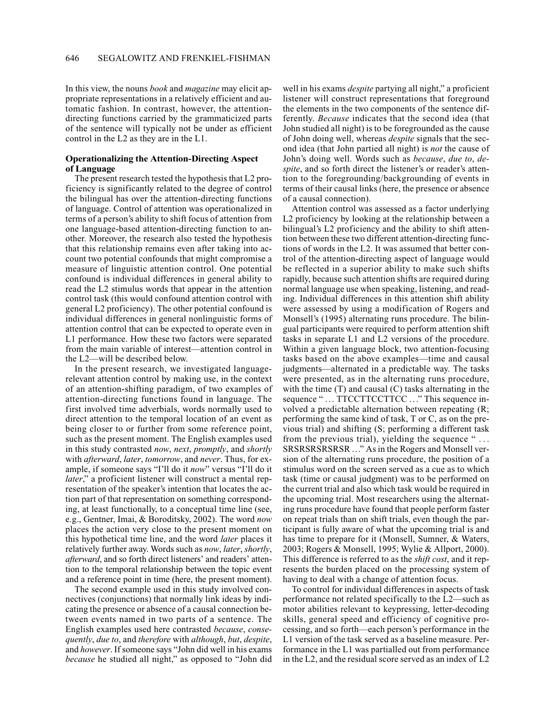In this view, the nouns book and *magazine* may elicit appropriate representations in a relatively efficient and automatic fashion. In contrast, however, the attentiondirecting functions carried by the grammaticized parts of the sentence will typically not be under as efficient control in the L2 as they are in the L1.

# **Operationalizing the Attention-Directing Aspect** of Language

The present research tested the hypothesis that L2 proficiency is significantly related to the degree of control the bilingual has over the attention-directing functions of language. Control of attention was operationalized in terms of a person's ability to shift focus of attention from one language-based attention-directing function to another. Moreover, the research also tested the hypothesis that this relationship remains even after taking into account two potential confounds that might compromise a measure of linguistic attention control. One potential confound is individual differences in general ability to read the L2 stimulus words that appear in the attention control task (this would confound attention control with general L2 proficiency). The other potential confound is individual differences in general nonlinguistic forms of attention control that can be expected to operate even in L1 performance. How these two factors were separated from the main variable of interest—attention control in the L2—will be described below.

In the present research, we investigated languagerelevant attention control by making use, in the context of an attention-shifting paradigm, of two examples of attention-directing functions found in language. The first involved time adverbials, words normally used to direct attention to the temporal location of an event as being closer to or further from some reference point, such as the present moment. The English examples used in this study contrasted now, next, promptly, and shortly with *afterward*, *later*, *tomorrow*, and *never*. Thus, for example, if someone says "I'll do it now" versus "I'll do it *later*," a proficient listener will construct a mental representation of the speaker's intention that locates the action part of that representation on something corresponding, at least functionally, to a conceptual time line (see, e.g., Gentner, Imai, & Boroditsky, 2002). The word now places the action very close to the present moment on this hypothetical time line, and the word *later* places it relatively further away. Words such as now, later, shortly, *afterward*, and so forth direct listeners' and readers' attention to the temporal relationship between the topic event and a reference point in time (here, the present moment).

The second example used in this study involved connectives (conjunctions) that normally link ideas by indicating the presence or absence of a causal connection between events named in two parts of a sentence. The English examples used here contrasted because, consequently, due to, and therefore with although, but, despite, and *however*. If someone says "John did well in his exams because he studied all night," as opposed to "John did

well in his exams *despite* partying all night," a proficient listener will construct representations that foreground the elements in the two components of the sentence differently. *Because* indicates that the second idea (that John studied all night) is to be foregrounded as the cause of John doing well, whereas *despite* signals that the second idea (that John partied all night) is *not* the cause of John's doing well. Words such as because, due to, despite, and so forth direct the listener's or reader's attention to the foregrounding/backgrounding of events in terms of their causal links (here, the presence or absence of a causal connection).

Attention control was assessed as a factor underlying L2 proficiency by looking at the relationship between a bilingual's L2 proficiency and the ability to shift attention between these two different attention-directing functions of words in the L2. It was assumed that better control of the attention-directing aspect of language would be reflected in a superior ability to make such shifts rapidly, because such attention shifts are required during normal language use when speaking, listening, and reading. Individual differences in this attention shift ability were assessed by using a modification of Rogers and Monsell's (1995) alternating runs procedure. The bilingual participants were required to perform attention shift tasks in separate L1 and L2 versions of the procedure. Within a given language block, two attention-focusing tasks based on the above examples—time and causal judgments—alternated in a predictable way. The tasks were presented, as in the alternating runs procedure, with the time  $(T)$  and causal  $(C)$  tasks alternating in the sequence "... TTCCTTCCTTCC ..." This sequence involved a predictable alternation between repeating (R; performing the same kind of task, T or C, as on the previous trial) and shifting (S; performing a different task from the previous trial), yielding the sequence "... SRSRSRSRSRSRSR ..." As in the Rogers and Monsell version of the alternating runs procedure, the position of a stimulus word on the screen served as a cue as to which task (time or causal judgment) was to be performed on the current trial and also which task would be required in the upcoming trial. Most researchers using the alternating runs procedure have found that people perform faster on repeat trials than on shift trials, even though the participant is fully aware of what the upcoming trial is and has time to prepare for it (Monsell, Sumner, & Waters, 2003; Rogers & Monsell, 1995; Wylie & Allport, 2000). This difference is referred to as the *shift cost*, and it represents the burden placed on the processing system of having to deal with a change of attention focus.

To control for individual differences in aspects of task performance not related specifically to the L2—such as motor abilities relevant to keypressing, letter-decoding skills, general speed and efficiency of cognitive processing, and so forth—each person's performance in the L1 version of the task served as a baseline measure. Performance in the L1 was partialled out from performance in the L2, and the residual score served as an index of L2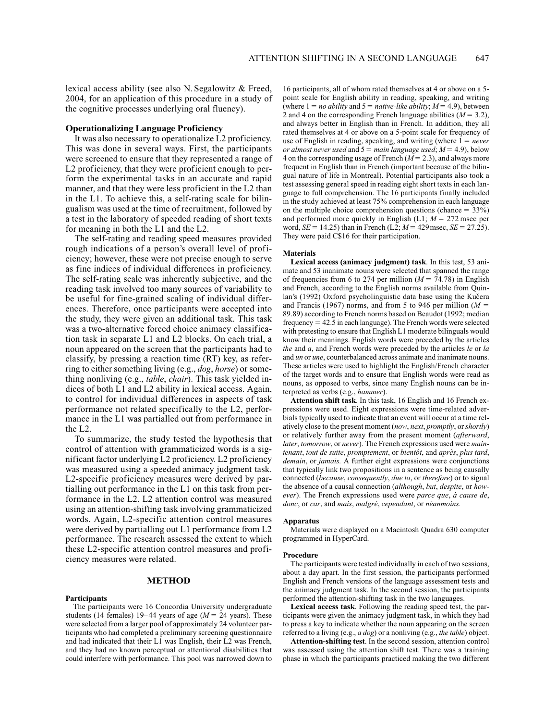lexical access ability (see also N. Segalowitz & Freed, 2004, for an application of this procedure in a study of the cognitive processes underlying oral fluency).

## **Operationalizing Language Proficiency**

It was also necessary to operationalize L2 proficiency. This was done in several ways. First, the participants were screened to ensure that they represented a range of L2 proficiency, that they were proficient enough to perform the experimental tasks in an accurate and rapid manner, and that they were less proficient in the L2 than in the L1. To achieve this, a self-rating scale for bilingualism was used at the time of recruitment, followed by a test in the laboratory of speeded reading of short texts for meaning in both the L1 and the L2.

The self-rating and reading speed measures provided rough indications of a person's overall level of proficiency; however, these were not precise enough to serve as fine indices of individual differences in proficiency. The self-rating scale was inherently subjective, and the reading task involved too many sources of variability to be useful for fine-grained scaling of individual differences. Therefore, once participants were accepted into the study, they were given an additional task. This task was a two-alternative forced choice animacy classification task in separate L1 and L2 blocks. On each trial, a noun appeared on the screen that the participants had to classify, by pressing a reaction time (RT) key, as referring to either something living (e.g., *dog, horse*) or something nonliving (e.g., table, chair). This task yielded indices of both L1 and L2 ability in lexical access. Again, to control for individual differences in aspects of task performance not related specifically to the L2, performance in the L1 was partialled out from performance in the L<sub>2</sub>.

To summarize, the study tested the hypothesis that control of attention with grammaticized words is a significant factor underlying L2 proficiency. L2 proficiency was measured using a speeded animacy judgment task. L2-specific proficiency measures were derived by partialling out performance in the L1 on this task from performance in the L2. L2 attention control was measured using an attention-shifting task involving grammaticized words. Again, L2-specific attention control measures were derived by partialling out L1 performance from L2 performance. The research assessed the extent to which these L2-specific attention control measures and proficiency measures were related.

## **METHOD**

## Participants

The participants were 16 Concordia University undergraduate students (14 females) 19–44 years of age ( $M = 24$  years). These were selected from a larger pool of approximately 24 volunteer participants who had completed a preliminary screening questionnaire and had indicated that their L1 was English, their L2 was French, and they had no known perceptual or attentional disabilities that could interfere with performance. This pool was narrowed down to 16 participants, all of whom rated themselves at 4 or above on a 5point scale for English ability in reading, speaking, and writing (where  $1 = no$  *ability* and  $5 = native-like$  *ability*;  $M = 4.9$ ), between 2 and 4 on the corresponding French language abilities ( $M = 3.2$ ), and always better in English than in French. In addition, they all rated themselves at 4 or above on a 5-point scale for frequency of use of English in reading, speaking, and writing (where  $1 = never$ or almost never used and  $5 = \text{main language used}$ ;  $M = 4.9$ ), below 4 on the corresponding usage of French  $(M = 2.3)$ , and always more frequent in English than in French (important because of the bilingual nature of life in Montreal). Potential participants also took a test assessing general speed in reading eight short texts in each language to full comprehension. The 16 participants finally included in the study achieved at least 75% comprehension in each language on the multiple choice comprehension questions (chance  $= 33\%$ ) and performed more quickly in English (L1;  $M = 272$  msec per word,  $SE = 14.25$ ) than in French (L2;  $M = 429$  msec,  $SE = 27.25$ ). They were paid C\$16 for their participation.

### **Materials**

Lexical access (animacy judgment) task. In this test, 53 animate and 53 inanimate nouns were selected that spanned the range of frequencies from 6 to 274 per million ( $M = 74.78$ ) in English and French, according to the English norms available from Quinlan's (1992) Oxford psycholinguistic data base using the Kučera and Francis (1967) norms, and from 5 to 946 per million ( $M =$ 89.89) according to French norms based on Beaudot (1992; median  $frequency = 42.5$  in each language). The French words were selected with pretesting to ensure that English L1 moderate bilinguals would know their meanings. English words were preceded by the articles the and a, and French words were preceded by the articles le or la and un or une, counterbalanced across animate and inanimate nouns. These articles were used to highlight the English/French character of the target words and to ensure that English words were read as nouns, as opposed to verbs, since many English nouns can be interpreted as verbs (e.g., hammer).

Attention shift task. In this task, 16 English and 16 French expressions were used. Eight expressions were time-related adverbials typically used to indicate that an event will occur at a time relatively close to the present moment (now, next, promptly, or shortly) or relatively further away from the present moment (afterward, *later*, *tomorrow*, *or never*). The French expressions used were *main*tenant, tout de suite, promptement, or bientôt, and après, plus tard, demain, or jamais. A further eight expressions were conjunctions that typically link two propositions in a sentence as being causally connected (because, consequently, due to, or therefore) or to signal the absence of a causal connection (although, but, despite, or however). The French expressions used were parce que, à cause de, donc, or car, and mais, malgré, cependant, or néanmoins.

#### **Apparatus**

Materials were displayed on a Macintosh Quadra 630 computer programmed in HyperCard.

#### Procedure

The participants were tested individually in each of two sessions, about a day apart. In the first session, the participants performed English and French versions of the language assessment tests and the animacy judgment task. In the second session, the participants performed the attention-shifting task in the two languages.

Lexical access task. Following the reading speed test, the participants were given the animacy judgment task, in which they had to press a key to indicate whether the noun appearing on the screen referred to a living (e.g.,  $a$  dog) or a nonliving (e.g., the table) object.

Attention-shifting test. In the second session, attention control was assessed using the attention shift test. There was a training phase in which the participants practiced making the two different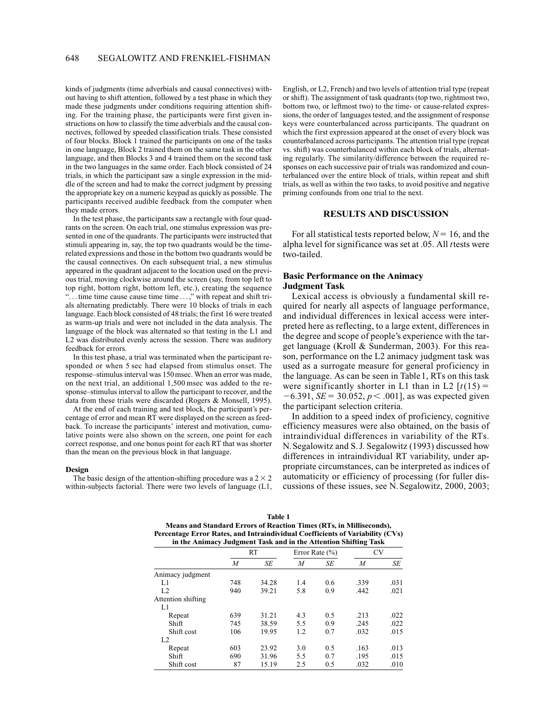kinds of judgments (time adverbials and causal connectives) without having to shift attention, followed by a test phase in which they made these judgments under conditions requiring attention shifting. For the training phase, the participants were first given instructions on how to classify the time adverbials and the causal connectives, followed by speeded classification trials. These consisted of four blocks. Block 1 trained the participants on one of the tasks in one language. Block 2 trained them on the same task in the other language, and then Blocks 3 and 4 trained them on the second task in the two languages in the same order. Each block consisted of 24 trials, in which the participant saw a single expression in the middle of the screen and had to make the correct judgment by pressing the appropriate key on a numeric keypad as quickly as possible. The participants received audible feedback from the computer when they made errors.

In the test phase, the participants saw a rectangle with four quadrants on the screen. On each trial, one stimulus expression was presented in one of the quadrants. The participants were instructed that stimuli appearing in, say, the top two quadrants would be the timerelated expressions and those in the bottom two quadrants would be the causal connectives. On each subsequent trial, a new stimulus appeared in the quadrant adjacent to the location used on the previous trial, moving clockwise around the screen (say, from top left to top right, bottom right, bottom left, etc.), creating the sequence "... time time cause cause time time ...," with repeat and shift trials alternating predictably. There were 10 blocks of trials in each language. Each block consisted of 48 trials; the first 16 were treated as warm-up trials and were not included in the data analysis. The language of the block was alternated so that testing in the L1 and L2 was distributed evenly across the session. There was auditory feedback for errors.

In this test phase, a trial was terminated when the participant responded or when 5 sec had elapsed from stimulus onset. The response-stimulus interval was 150 msec. When an error was made, on the next trial, an additional 1,500 msec was added to the response-stimulus interval to allow the participant to recover, and the data from these trials were discarded (Rogers & Monsell, 1995).

At the end of each training and test block, the participant's percentage of error and mean RT were displayed on the screen as feedback. To increase the participants' interest and motivation, cumulative points were also shown on the screen, one point for each correct response, and one bonus point for each RT that was shorter than the mean on the previous block in that language.

#### **Design**

The basic design of the attention-shifting procedure was a  $2 \times 2$ within-subjects factorial. There were two levels of language (L1,

English, or L2, French) and two levels of attention trial type (repeat or shift). The assignment of task quadrants (top two, rightmost two, bottom two, or leftmost two) to the time- or cause-related expressions, the order of languages tested, and the assignment of response keys were counterbalanced across participants. The quadrant on which the first expression appeared at the onset of every block was counterbalanced across participants. The attention trial type (repeat vs. shift) was counterbalanced within each block of trials, alternating regularly. The similarity/difference between the required responses on each successive pair of trials was randomized and counterbalanced over the entire block of trials, within repeat and shift trials, as well as within the two tasks, to avoid positive and negative priming confounds from one trial to the next.

# **RESULTS AND DISCUSSION**

For all statistical tests reported below,  $N = 16$ , and the alpha level for significance was set at 0.05. All t tests were two-tailed.

# **Basic Performance on the Animacy Judgment Task**

Lexical access is obviously a fundamental skill required for nearly all aspects of language performance, and individual differences in lexical access were interpreted here as reflecting, to a large extent, differences in the degree and scope of people's experience with the target language (Kroll & Sunderman, 2003). For this reason, performance on the L2 animacy judgment task was used as a surrogate measure for general proficiency in the language. As can be seen in Table 1, RTs on this task were significantly shorter in L1 than in L2  $[t(15) =$  $-6.391$ , SE = 30.052, p < .001], as was expected given the participant selection criteria.

In addition to a speed index of proficiency, cognitive efficiency measures were also obtained, on the basis of intraindividual differences in variability of the RTs. N. Segalowitz and S.J. Segalowitz (1993) discussed how differences in intraindividual RT variability, under appropriate circumstances, can be interpreted as indices of automaticity or efficiency of processing (for fuller discussions of these issues, see N. Segalowitz, 2000, 2003;

| Telechiage Effor Kates, and finifamuly dual Coefficients of Valiability (CVS)<br>in the Animacy Judgment Task and in the Attention Shifting Task |     |           |                    |     |           |      |  |
|--------------------------------------------------------------------------------------------------------------------------------------------------|-----|-----------|--------------------|-----|-----------|------|--|
|                                                                                                                                                  | RT  |           | Error Rate $(\% )$ |     | <b>CV</b> |      |  |
|                                                                                                                                                  | M   | <b>SE</b> | M                  | SE  | M         | SE   |  |
| Animacy judgment                                                                                                                                 |     |           |                    |     |           |      |  |
| L1                                                                                                                                               | 748 | 34.28     | 1.4                | 0.6 | .339      | .031 |  |
| L2                                                                                                                                               | 940 | 39.21     | 5.8                | 0.9 | .442      | .021 |  |
| Attention shifting                                                                                                                               |     |           |                    |     |           |      |  |
| L1                                                                                                                                               |     |           |                    |     |           |      |  |
| Repeat                                                                                                                                           | 639 | 31.21     | 4.3                | 0.5 | .213      | .022 |  |
| Shift                                                                                                                                            | 745 | 38.59     | 5.5                | 0.9 | .245      | .022 |  |
| Shift cost                                                                                                                                       | 106 | 19.95     | 1.2                | 0.7 | .032      | .015 |  |
| L2                                                                                                                                               |     |           |                    |     |           |      |  |
| Repeat                                                                                                                                           | 603 | 23.92     | 3.0                | 0.5 | .163      | .013 |  |
| Shift                                                                                                                                            | 690 | 31.96     | 5.5                | 0.7 | .195      | .015 |  |
| Shift cost                                                                                                                                       | 87  | 15.19     | 2.5                | 0.5 | .032      | .010 |  |

Table 1 Means and Standard Errors of Reaction Times (RTs, in Milliseconds), or Rates, and Intraindividual Coefficients of Variability ((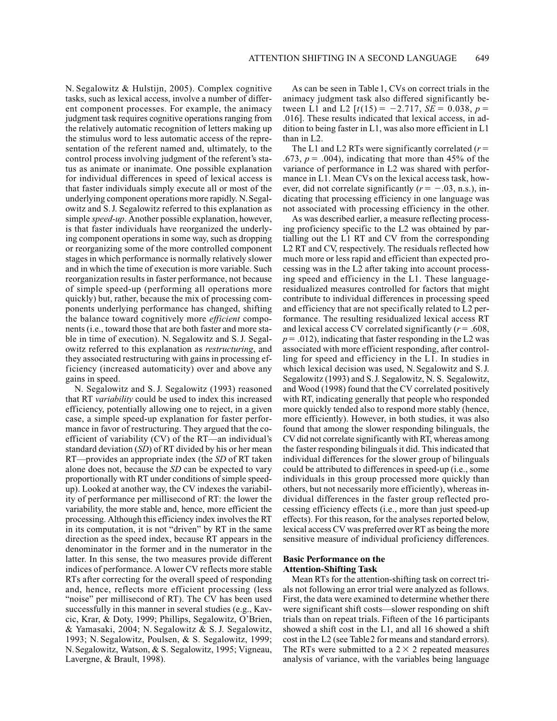N. Segalowitz & Hulstijn, 2005). Complex cognitive tasks, such as lexical access, involve a number of different component processes. For example, the animacy judgment task requires cognitive operations ranging from the relatively automatic recognition of letters making up the stimulus word to less automatic access of the representation of the referent named and, ultimately, to the control process involving judgment of the referent's status as animate or inanimate. One possible explanation for individual differences in speed of lexical access is that faster individuals simply execute all or most of the underlying component operations more rapidly. N. Segalowitz and S.J. Segalowitz referred to this explanation as simple *speed-up*. Another possible explanation, however, is that faster individuals have reorganized the underlying component operations in some way, such as dropping or reorganizing some of the more controlled component stages in which performance is normally relatively slower and in which the time of execution is more variable. Such reorganization results in faster performance, not because of simple speed-up (performing all operations more quickly) but, rather, because the mix of processing components underlying performance has changed, shifting the balance toward cognitively more *efficient* components (i.e., toward those that are both faster and more stable in time of execution). N. Segalowitz and S. J. Segalowitz referred to this explanation as *restructuring*, and they associated restructuring with gains in processing efficiency (increased automaticity) over and above any gains in speed.

N. Segalowitz and S.J. Segalowitz (1993) reasoned that RT *variability* could be used to index this increased efficiency, potentially allowing one to reject, in a given case, a simple speed-up explanation for faster performance in favor of restructuring. They argued that the coefficient of variability (CV) of the RT—an individual's standard deviation (SD) of RT divided by his or her mean  $RT$ —provides an appropriate index (the SD of RT taken alone does not, because the SD can be expected to vary proportionally with RT under conditions of simple speedup). Looked at another way, the CV indexes the variability of performance per millisecond of RT: the lower the variability, the more stable and, hence, more efficient the processing. Although this efficiency index involves the RT in its computation, it is not "driven" by RT in the same direction as the speed index, because RT appears in the denominator in the former and in the numerator in the latter. In this sense, the two measures provide different indices of performance. A lower CV reflects more stable RTs after correcting for the overall speed of responding and, hence, reflects more efficient processing (less "noise" per millisecond of RT). The CV has been used successfully in this manner in several studies (e.g., Kavcic, Krar, & Doty, 1999; Phillips, Segalowitz, O'Brien, & Yamasaki, 2004; N. Segalowitz & S. J. Segalowitz, 1993; N. Segalowitz, Poulsen, & S. Segalowitz, 1999; N. Segalowitz, Watson, & S. Segalowitz, 1995; Vigneau, Lavergne, & Brault, 1998).

As can be seen in Table 1, CVs on correct trials in the animacy judgment task also differed significantly between L1 and L2  $[t(15) = -2.717, SE = 0.038, p =$ .016]. These results indicated that lexical access, in addition to being faster in L1, was also more efficient in L1 than in  $L2$ .

The L1 and L2 RTs were significantly correlated  $(r =$ .673,  $p = .004$ ), indicating that more than 45% of the variance of performance in L2 was shared with performance in L1. Mean CVs on the lexical access task, however, did not correlate significantly  $(r = -.03, n.s.),$  indicating that processing efficiency in one language was not associated with processing efficiency in the other.

As was described earlier, a measure reflecting processing proficiency specific to the L2 was obtained by partialling out the L1 RT and CV from the corresponding L2 RT and CV, respectively. The residuals reflected how much more or less rapid and efficient than expected processing was in the L2 after taking into account processing speed and efficiency in the L1. These languageresidualized measures controlled for factors that might contribute to individual differences in processing speed and efficiency that are not specifically related to L2 performance. The resulting residualized lexical access RT and lexical access CV correlated significantly ( $r = .608$ ,  $p = .012$ ), indicating that faster responding in the L2 was associated with more efficient responding, after controlling for speed and efficiency in the L1. In studies in which lexical decision was used, N. Segalowitz and S.J. Segalowitz (1993) and S.J. Segalowitz, N. S. Segalowitz, and Wood (1998) found that the CV correlated positively with RT, indicating generally that people who responded more quickly tended also to respond more stably (hence, more efficiently). However, in both studies, it was also found that among the slower responding bilinguals, the CV did not correlate significantly with RT, whereas among the faster responding bilinguals it did. This indicated that individual differences for the slower group of bilinguals could be attributed to differences in speed-up (i.e., some individuals in this group processed more quickly than others, but not necessarily more efficiently), whereas individual differences in the faster group reflected processing efficiency effects (i.e., more than just speed-up effects). For this reason, for the analyses reported below, lexical access CV was preferred over RT as being the more sensitive measure of individual proficiency differences.

## **Basic Performance on the Attention-Shifting Task**

Mean RTs for the attention-shifting task on correct trials not following an error trial were analyzed as follows. First, the data were examined to determine whether there were significant shift costs—slower responding on shift trials than on repeat trials. Fifteen of the 16 participants showed a shift cost in the L1, and all 16 showed a shift cost in the L2 (see Table 2 for means and standard errors). The RTs were submitted to a  $2 \times 2$  repeated measures analysis of variance, with the variables being language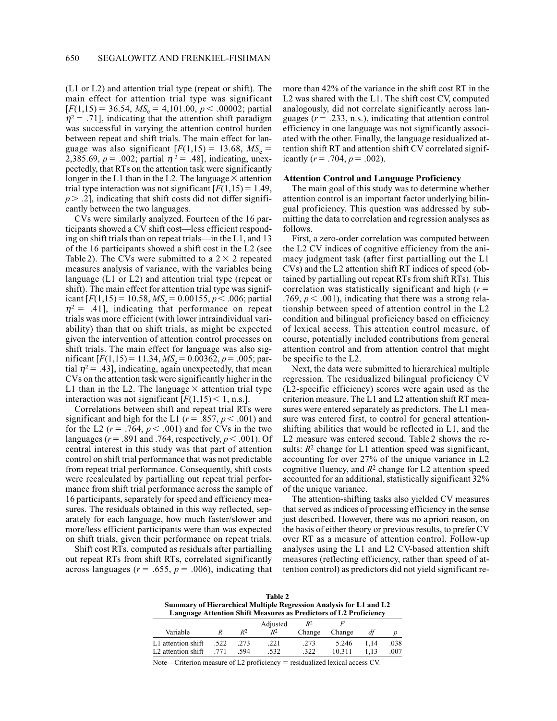(L1 or L2) and attention trial type (repeat or shift). The main effect for attention trial type was significant  $[F(1,15) = 36.54, MS_e = 4,101.00, p < .00002;$  partial  $\eta^2$  = .71], indicating that the attention shift paradigm was successful in varying the attention control burden between repeat and shift trials. The main effect for language was also significant  $[F(1,15) = 13.68, MS_e =$ 2,385.69,  $p = .002$ ; partial  $\eta^2 = .48$ ], indicating, unexpectedly, that RTs on the attention task were significantly longer in the L1 than in the L2. The language  $\times$  attention trial type interaction was not significant  $[F(1,15) = 1.49]$ ,  $p > .2$ , indicating that shift costs did not differ significantly between the two languages.

CVs were similarly analyzed. Fourteen of the 16 participants showed a CV shift cost—less efficient responding on shift trials than on repeat trials—in the  $L1$ , and 13 of the 16 participants showed a shift cost in the L2 (see Table 2). The CVs were submitted to a  $2 \times 2$  repeated measures analysis of variance, with the variables being language (L1 or L2) and attention trial type (repeat or shift). The main effect for attention trial type was significant  $[F(1,15) = 10.58, MS = 0.00155, p < .006$ ; partial  $\eta^2$  = .41], indicating that performance on repeat trials was more efficient (with lower intraindividual variability) than that on shift trials, as might be expected given the intervention of attention control processes on shift trials. The main effect for language was also significant  $[F(1,15) = 11.34, MS_e = 0.00362, p = .005;$  partial  $\eta^2$  = .43], indicating, again unexpectedly, that mean CVs on the attention task were significantly higher in the L1 than in the L2. The language  $\times$  attention trial type interaction was not significant  $[F(1,15) < 1, n.s.].$ 

Correlations between shift and repeat trial RTs were significant and high for the L1 ( $r = .857$ ,  $p < .001$ ) and for the L2 ( $r = .764$ ,  $p < .001$ ) and for CVs in the two languages ( $r = .891$  and .764, respectively,  $p < .001$ ). Of central interest in this study was that part of attention control on shift trial performance that was not predictable from repeat trial performance. Consequently, shift costs were recalculated by partialling out repeat trial performance from shift trial performance across the sample of 16 participants, separately for speed and efficiency measures. The residuals obtained in this way reflected, separately for each language, how much faster/slower and more/less efficient participants were than was expected on shift trials, given their performance on repeat trials.

Shift cost RTs, computed as residuals after partialling out repeat RTs from shift RTs, correlated significantly across languages ( $r = .655$ ,  $p = .006$ ), indicating that more than 42% of the variance in the shift cost RT in the L<sub>2</sub> was shared with the L<sub>1</sub>. The shift cost CV, computed analogously, did not correlate significantly across languages ( $r = .233$ , n.s.), indicating that attention control efficiency in one language was not significantly associated with the other. Finally, the language residualized attention shift RT and attention shift CV correlated significantly  $(r = .704, p = .002)$ .

## **Attention Control and Language Proficiency**

The main goal of this study was to determine whether attention control is an important factor underlying bilingual proficiency. This question was addressed by submitting the data to correlation and regression analyses as follows.

First, a zero-order correlation was computed between the L2 CV indices of cognitive efficiency from the animacy judgment task (after first partialling out the L1 CVs) and the L2 attention shift RT indices of speed (obtained by partialling out repeat RTs from shift RTs). This correlation was statistically significant and high  $(r =$ .769,  $p < .001$ ), indicating that there was a strong relationship between speed of attention control in the L2 condition and bilingual proficiency based on efficiency of lexical access. This attention control measure, of course, potentially included contributions from general attention control and from attention control that might be specific to the L2.

Next, the data were submitted to hierarchical multiple regression. The residualized bilingual proficiency CV (L2-specific efficiency) scores were again used as the criterion measure. The L1 and L2 attention shift RT measures were entered separately as predictors. The L1 measure was entered first, to control for general attentionshifting abilities that would be reflected in L1, and the L2 measure was entered second. Table 2 shows the results:  $R<sup>2</sup>$  change for L1 attention speed was significant, accounting for over 27% of the unique variance in L2 cognitive fluency, and  $R^2$  change for L2 attention speed accounted for an additional, statistically significant 32% of the unique variance.

The attention-shifting tasks also yielded CV measures that served as indices of processing efficiency in the sense just described. However, there was no a priori reason, on the basis of either theory or previous results, to prefer CV over RT as a measure of attention control. Follow-up analyses using the L1 and L2 CV-based attention shift measures (reflecting efficiency, rather than speed of attention control) as predictors did not yield significant re-

| <b>Table 2</b>                                                     |           |    |  |  |  |  |  |
|--------------------------------------------------------------------|-----------|----|--|--|--|--|--|
| Summary of Hierarchical Multiple Regression Analysis for L1 and L2 |           |    |  |  |  |  |  |
| Language Attention Shift Measures as Predictors of L2 Proficiency  |           |    |  |  |  |  |  |
|                                                                    | A divetod | D2 |  |  |  |  |  |

| Variable                       |      | R <sup>2</sup> | $1.191$ $1.001$ | Change | Change | dt   |      |
|--------------------------------|------|----------------|-----------------|--------|--------|------|------|
| L1 attention shift             | .522 | -273           | .221            | .273   | 5.246  | 1.14 | .038 |
| L <sub>2</sub> attention shift | .771 | - 594          | .532            | .322   | 10.311 | 1.13 | .007 |

Note—Criterion measure of L2 proficiency = residualized lexical access CV.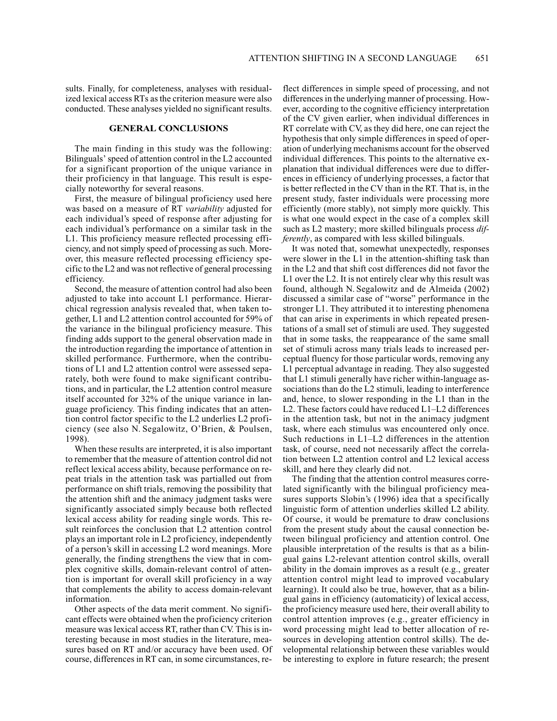sults. Finally, for completeness, analyses with residualized lexical access RTs as the criterion measure were also conducted. These analyses yielded no significant results.

# **GENERAL CONCLUSIONS**

The main finding in this study was the following: Bilinguals' speed of attention control in the L2 accounted for a significant proportion of the unique variance in their proficiency in that language. This result is especially noteworthy for several reasons.

First, the measure of bilingual proficiency used here was based on a measure of RT variability adjusted for each individual's speed of response after adjusting for each individual's performance on a similar task in the L1. This proficiency measure reflected processing efficiency, and not simply speed of processing as such. Moreover, this measure reflected processing efficiency specific to the L2 and was not reflective of general processing efficiency.

Second, the measure of attention control had also been adjusted to take into account L1 performance. Hierarchical regression analysis revealed that, when taken together, L1 and L2 attention control accounted for 59% of the variance in the bilingual proficiency measure. This finding adds support to the general observation made in the introduction regarding the importance of attention in skilled performance. Furthermore, when the contributions of L1 and L2 attention control were assessed separately, both were found to make significant contributions, and in particular, the L2 attention control measure itself accounted for 32% of the unique variance in language proficiency. This finding indicates that an attention control factor specific to the L2 underlies L2 proficiency (see also N. Segalowitz, O'Brien, & Poulsen, 1998).

When these results are interpreted, it is also important to remember that the measure of attention control did not reflect lexical access ability, because performance on repeat trials in the attention task was partialled out from performance on shift trials, removing the possibility that the attention shift and the animacy judgment tasks were significantly associated simply because both reflected lexical access ability for reading single words. This result reinforces the conclusion that L2 attention control plays an important role in L2 proficiency, independently of a person's skill in accessing L2 word meanings. More generally, the finding strengthens the view that in complex cognitive skills, domain-relevant control of attention is important for overall skill proficiency in a way that complements the ability to access domain-relevant information.

Other aspects of the data merit comment. No significant effects were obtained when the proficiency criterion measure was lexical access RT, rather than CV. This is interesting because in most studies in the literature, measures based on RT and/or accuracy have been used. Of course, differences in RT can, in some circumstances, re-

flect differences in simple speed of processing, and not differences in the underlying manner of processing. However, according to the cognitive efficiency interpretation of the CV given earlier, when individual differences in RT correlate with CV, as they did here, one can reject the hypothesis that only simple differences in speed of operation of underlying mechanisms account for the observed individual differences. This points to the alternative explanation that individual differences were due to differences in efficiency of underlying processes, a factor that is better reflected in the CV than in the RT. That is, in the present study, faster individuals were processing more efficiently (more stably), not simply more quickly. This is what one would expect in the case of a complex skill such as L2 mastery; more skilled bilinguals process *differently*, as compared with less skilled bilinguals.

It was noted that, somewhat unexpectedly, responses were slower in the L1 in the attention-shifting task than in the L2 and that shift cost differences did not favor the L1 over the L2. It is not entirely clear why this result was found, although N. Segalowitz and de Almeida (2002) discussed a similar case of "worse" performance in the stronger L1. They attributed it to interesting phenomena that can arise in experiments in which repeated presentations of a small set of stimuli are used. They suggested that in some tasks, the reappearance of the same small set of stimuli across many trials leads to increased perceptual fluency for those particular words, removing any L1 perceptual advantage in reading. They also suggested that L1 stimuli generally have richer within-language associations than do the L2 stimuli, leading to interference and, hence, to slower responding in the L1 than in the L2. These factors could have reduced L1-L2 differences in the attention task, but not in the animacy judgment task, where each stimulus was encountered only once. Such reductions in L1–L2 differences in the attention task, of course, need not necessarily affect the correlation between L2 attention control and L2 lexical access skill, and here they clearly did not.

The finding that the attention control measures correlated significantly with the bilingual proficiency measures supports Slobin's (1996) idea that a specifically linguistic form of attention underlies skilled L2 ability. Of course, it would be premature to draw conclusions from the present study about the causal connection between bilingual proficiency and attention control. One plausible interpretation of the results is that as a bilingual gains L2-relevant attention control skills, overall ability in the domain improves as a result (e.g., greater attention control might lead to improved vocabulary learning). It could also be true, however, that as a bilingual gains in efficiency (automaticity) of lexical access, the proficiency measure used here, their overall ability to control attention improves (e.g., greater efficiency in word processing might lead to better allocation of resources in developing attention control skills). The developmental relationship between these variables would be interesting to explore in future research; the present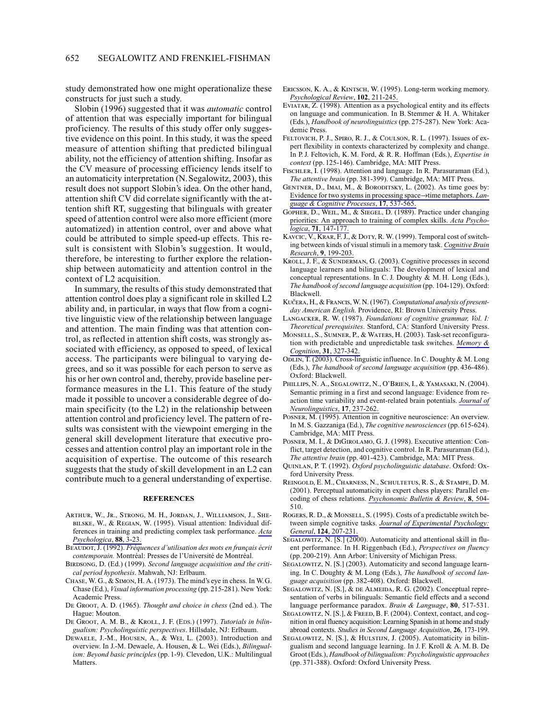study demonstrated how one might operationalize these constructs for just such a study.

Slobin (1996) suggested that it was *automatic* control of attention that was especially important for bilingual proficiency. The results of this study offer only suggestive evidence on this point. In this study, it was the speed measure of attention shifting that predicted bilingual ability, not the efficiency of attention shifting. Insofar as the CV measure of processing efficiency lends itself to an automaticity interpretation (N. Segalowitz, 2003), this result does not support Slobin's idea. On the other hand, attention shift CV did correlate significantly with the attention shift RT, suggesting that bilinguals with greater speed of attention control were also more efficient (more automatized) in attention control, over and above what could be attributed to simple speed-up effects. This result is consistent with Slobin's suggestion. It would, therefore, be interesting to further explore the relationship between automaticity and attention control in the context of L2 acquisition.

In summary, the results of this study demonstrated that attention control does play a significant role in skilled L2 ability and, in particular, in ways that flow from a cognitive linguistic view of the relationship between language and attention. The main finding was that attention control, as reflected in attention shift costs, was strongly associated with efficiency, as opposed to speed, of lexical access. The participants were bilingual to varying degrees, and so it was possible for each person to serve as his or her own control and, thereby, provide baseline performance measures in the L1. This feature of the study made it possible to uncover a considerable degree of domain specificity (to the L2) in the relationship between attention control and proficiency level. The pattern of results was consistent with the viewpoint emerging in the general skill development literature that executive processes and attention control play an important role in the acquisition of expertise. The outcome of this research suggests that the study of skill development in an L2 can contribute much to a general understanding of expertise.

## **REFERENCES**

- ARTHUR, W., JR., STRONG, M. H., JORDAN, J., WILLIAMSON, J., SHE-BILSKE, W., & REGIAN, W. (1995). Visual attention: Individual differences in training and predicting complex task performance. Acta Psychologica, 88, 3-23.
- BEAUDOT, J. (1992). Fréquences d'utilisation des mots en français écrit contemporain. Montréal: Presses de l'Université de Montréal.
- BIRDSONG, D. (Ed.) (1999). Second language acquisition and the critical period hypothesis. Mahwah, NJ: Erlbaum.
- CHASE, W. G., & SIMON, H. A. (1973). The mind's eye in chess. In W. G. Chase (Ed.), Visual information processing (pp. 215-281). New York: Academic Press.
- DE GROOT, A. D. (1965). Thought and choice in chess (2nd ed.). The Hague: Mouton.
- DE GROOT, A. M. B., & KROLL, J. F. (EDS.) (1997). Tutorials in bilingualism: Psycholinguistic perspectives. Hillsdale, NJ: Erlbaum.
- DEWAELE, J.-M., HOUSEN, A., & WEI, L. (2003). Introduction and overview. In J.-M. Dewaele, A. Housen, & L. Wei (Eds.), Bilingualism: Beyond basic principles (pp. 1-9). Clevedon, U.K.: Multilingual Matters.
- ERICSSON, K. A., & KINTSCH, W. (1995). Long-term working memory. Psychological Review, 102, 211-245.
- EVIATAR, Z. (1998). Attention as a psychological entity and its effects on language and communication. In B. Stemmer & H. A. Whitaker (Eds.), Handbook of neurolinguistics (pp. 275-287). New York: Academic Press
- FELTOVICH, P. J., SPIRO, R. J., & COULSON, R. L. (1997). Issues of expert flexibility in contexts characterized by complexity and change. In P. J. Feltovich, K. M. Ford, & R. R. Hoffman (Eds.), Expertise in context (pp. 125-146). Cambridge, MA: MIT Press.
- FISCHLER, I. (1998). Attention and language. In R. Parasuraman (Ed.), The attentive brain (pp. 381-399). Cambridge, MA: MIT Press.
- GENTNER, D., IMAI, M., & BORODITSKY, L. (2002). As time goes by: Evidence for two systems in processing space->time metaphors. Language & Cognitive Processes, 17, 537-565.
- GOPHER, D., WEIL, M., & SIEGEL, D. (1989). Practice under changing priorities: An approach to training of complex skills. Acta Psychologica, 71, 147-177.
- KAVCIC, V., KRAR, F.J., & DOTY, R. W. (1999). Temporal cost of switching between kinds of visual stimuli in a memory task. Cognitive Brain Research, 9, 199-203.
- KROLL, J. F., & SUNDERMAN, G. (2003). Cognitive processes in second language learners and bilinguals: The development of lexical and conceptual representations. In C. J. Doughty & M. H. Long (Eds.), The handbook of second language acquisition (pp. 104-129). Oxford: Blackwell.
- KUČERA, H., & FRANCIS, W. N. (1967). Computational analysis of presentday American English. Providence, RI: Brown University Press.
- LANGACKER, R. W. (1987). Foundations of cognitive grammar, Vol. I: Theoretical prerequisites. Stanford, CA: Stanford University Press.
- MONSELL, S., SUMNER, P., & WATERS, H. (2003). Task-set reconfiguration with predictable and unpredictable task switches. Memory & Cognition, 31, 327-342.
- ODLIN, T. (2003). Cross-linguistic influence. In C. Doughty & M. Long (Eds.), The handbook of second language acquisition (pp. 436-486). Oxford: Blackwell.
- PHILLIPS, N. A., SEGALOWITZ, N., O'BRIEN, I., & YAMASAKI, N. (2004). Semantic priming in a first and second language: Evidence from reaction time variability and event-related brain potentials. Journal of Neurolinguistics, 17, 237-262.
- POSNER, M. (1995). Attention in cognitive neuroscience: An overview. In M.S. Gazzaniga (Ed.), The cognitive neurosciences (pp. 615-624). Cambridge, MA: MIT Press.
- POSNER, M. I., & DIGIROLAMO, G. J. (1998). Executive attention: Conflict, target detection, and cognitive control. In R. Parasuraman (Ed.), The attentive brain (pp. 401-423). Cambridge, MA: MIT Press.
- OUINLAN, P. T. (1992). Oxford psycholinguistic database. Oxford: Oxford University Press.
- REINGOLD, E. M., CHARNESS, N., SCHULTETUS, R. S., & STAMPE, D. M. (2001). Perceptual automaticity in expert chess players: Parallel encoding of chess relations. Psychonomic Bulletin & Review, 8, 504-510
- ROGERS, R. D., & MONSELL, S. (1995). Costs of a predictable switch between simple cognitive tasks. Journal of Experimental Psychology: General, 124, 207-231.
- SEGALOWITZ, N. [S.] (2000). Automaticity and attentional skill in fluent performance. In H. Riggenbach (Ed.), Perspectives on fluency (pp. 200-219). Ann Arbor: University of Michigan Press.
- SEGALOWITZ, N. [S.] (2003). Automaticity and second language learning. In C. Doughty & M. Long (Eds.), The handbook of second language acquisition (pp. 382-408). Oxford: Blackwell.
- SEGALOWITZ, N. [S.], & DE ALMEIDA, R. G. (2002). Conceptual representation of verbs in bilinguals: Semantic field effects and a second language performance paradox. Brain & Language, 80, 517-531.
- SEGALOWITZ, N. [S.], & FREED, B. F. (2004). Context, contact, and cognition in oral fluency acquisition: Learning Spanish in at home and study abroad contexts. Studies in Second Language Acquisition, 26, 173-199.
- SEGALOWITZ, N. [S.], & HULSTIJN, J. (2005). Automaticity in bilingualism and second language learning. In J.F. Kroll & A.M.B. De Groot (Eds.), Handbook of bilingualism: Psycholinguistic approaches (pp. 371-388). Oxford: Oxford University Press.